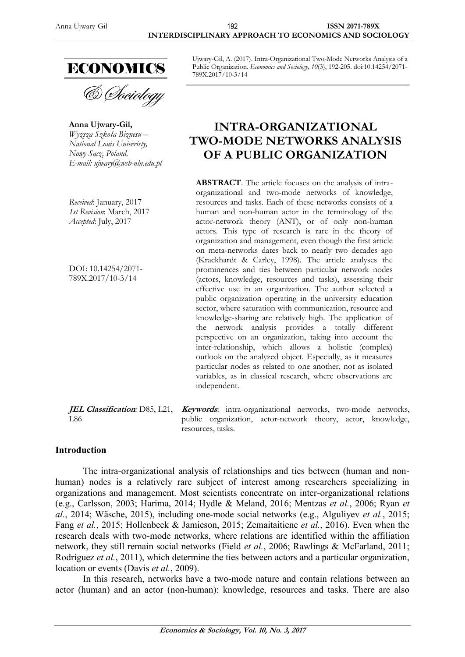

& *Choiology* 

**Anna Ujwary-Gil,** *Wyższa Szkoła Biznesu – National Louis Univeristy, Nowy Sącz, Poland, E-mail: [ujwary@wsb-nlu.edu.pl](mailto:ujwary@wsb-nlu.edu.pl)*

*Received*: January, 2017 *1st Revision*: March, 2017 *Accepted*: July, 2017

DOI: 10.14254/2071- 789X.2017/10-3/14

L86

Ujwary-Gil, A. (2017). Intra-Organizational Two-Mode Networks Analysis of a Public Organization. *Economics and Sociology*, *10*(3), 192-205. doi:10.14254/2071- 789X.2017/10-3/14

# **INTRA-ORGANIZATIONAL TWO-MODE NETWORKS ANALYSIS OF A PUBLIC ORGANIZATION**

**ABSTRACT**. The article focuses on the analysis of intraorganizational and two-mode networks of knowledge, resources and tasks. Each of these networks consists of a human and non-human actor in the terminology of the actor-network theory (ANT), or of only non-human actors. This type of research is rare in the theory of organization and management, even though the first article on meta-networks dates back to nearly two decades ago (Krackhardt & Carley, 1998). The article analyses the prominences and ties between particular network nodes (actors, knowledge, resources and tasks), assessing their effective use in an organization. The author selected a public organization operating in the university education sector, where saturation with communication, resource and knowledge-sharing are relatively high. The application of the network analysis provides a totally different perspective on an organization, taking into account the inter-relationship, which allows a holistic (complex) outlook on the analyzed object. Especially, as it measures particular nodes as related to one another, not as isolated variables, as in classical research, where observations are independent.

**JEL Classification***:* D85, L21, **Keywords**: intra-organizational networks, two-mode networks, public organization, actor-network theory, actor, knowledge, resources, tasks.

#### **Introduction**

The intra-organizational analysis of relationships and ties between (human and nonhuman) nodes is a relatively rare subject of interest among researchers specializing in organizations and management. Most scientists concentrate on inter-organizational relations (e.g., Carlsson, 2003; Harima, 2014; Hydle & Meland, 2016; Mentzas *et al.*, 2006; Ryan *et al.*, 2014; Wäsche, 2015), including one-mode social networks (e.g., Alguliyev *et al.*, 2015; Fang *et al.*, 2015; Hollenbeck & Jamieson, 2015; Zemaitaitiene *et al.*, 2016). Even when the research deals with two-mode networks, where relations are identified within the affiliation network, they still remain social networks (Field *et al.*, 2006; Rawlings & McFarland, 2011; Rodríguez *et al.*, 2011), which determine the ties between actors and a particular organization, location or events (Davis *et al.*, 2009).

In this research, networks have a two-mode nature and contain relations between an actor (human) and an actor (non-human): knowledge, resources and tasks. There are also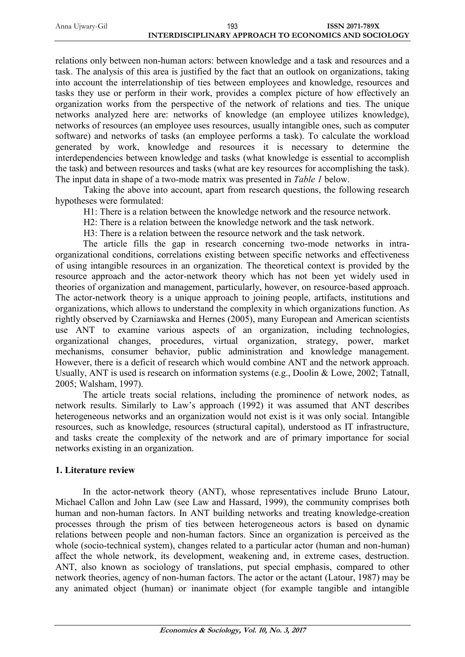| Anna Ujwary-Gil | 193                                                   | <b>ISSN 2071-789X</b> |
|-----------------|-------------------------------------------------------|-----------------------|
|                 | INTERDISCIPLINARY APPROACH TO ECONOMICS AND SOCIOLOGY |                       |

relations only between non-human actors: between knowledge and a task and resources and a task. The analysis of this area is justified by the fact that an outlook on organizations, taking into account the interrelationship of ties between employees and knowledge, resources and tasks they use or perform in their work, provides a complex picture of how effectively an organization works from the perspective of the network of relations and ties. The unique networks analyzed here are: networks of knowledge (an employee utilizes knowledge), networks of resources (an employee uses resources, usually intangible ones, such as computer software) and networks of tasks (an employee performs a task). To calculate the workload generated by work, knowledge and resources it is necessary to determine the interdependencies between knowledge and tasks (what knowledge is essential to accomplish the task) and between resources and tasks (what are key resources for accomplishing the task). The input data in shape of a two-mode matrix was presented in *Table 1* below.

Taking the above into account, apart from research questions, the following research hypotheses were formulated:

H1: There is a relation between the knowledge network and the resource network.

H2: There is a relation between the knowledge network and the task network.

H3: There is a relation between the resource network and the task network.

The article fills the gap in research concerning two-mode networks in intraorganizational conditions, correlations existing between specific networks and effectiveness of using intangible resources in an organization. The theoretical context is provided by the resource approach and the actor-network theory which has not been yet widely used in theories of organization and management, particularly, however, on resource-based approach. The actor-network theory is a unique approach to joining people, artifacts, institutions and organizations, which allows to understand the complexity in which organizations function. As rightly observed by Czarniawska and Hernes (2005), many European and American scientists use ANT to examine various aspects of an organization, including technologies, organizational changes, procedures, virtual organization, strategy, power, market mechanisms, consumer behavior, public administration and knowledge management. However, there is a deficit of research which would combine ANT and the network approach. Usually, ANT is used is research on information systems (e.g., Doolin & Lowe, 2002; Tatnall, 2005; Walsham, 1997).

The article treats social relations, including the prominence of network nodes, as network results. Similarly to Law's approach (1992) it was assumed that ANT describes heterogeneous networks and an organization would not exist is it was only social. Intangible resources, such as knowledge, resources (structural capital), understood as IT infrastructure, and tasks create the complexity of the network and are of primary importance for social networks existing in an organization.

#### **1. Literature review**

In the actor-network theory (ANT), whose representatives include Bruno Latour, Michael Callon and John Law (see Law and Hassard, 1999), the community comprises both human and non-human factors. In ANT building networks and treating knowledge-creation processes through the prism of ties between heterogeneous actors is based on dynamic relations between people and non-human factors. Since an organization is perceived as the whole (socio-technical system), changes related to a particular actor (human and non-human) affect the whole network, its development, weakening and, in extreme cases, destruction. ANT, also known as sociology of translations, put special emphasis, compared to other network theories, agency of non-human factors. The actor or the actant (Latour, 1987) may be any animated object (human) or inanimate object (for example tangible and intangible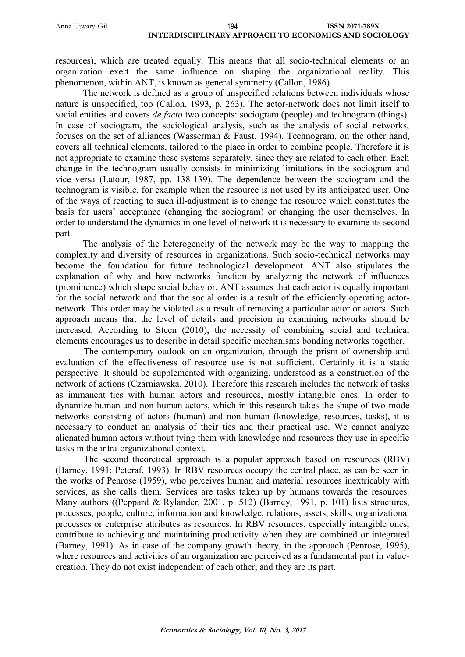resources), which are treated equally. This means that all socio-technical elements or an organization exert the same influence on shaping the organizational reality. This phenomenon, within ANT, is known as general symmetry (Callon, 1986).

The network is defined as a group of unspecified relations between individuals whose nature is unspecified, too (Callon, 1993, p. 263). The actor-network does not limit itself to social entities and covers *de facto* two concepts: sociogram (people) and technogram (things). In case of sociogram, the sociological analysis, such as the analysis of social networks, focuses on the set of alliances (Wasserman & Faust, 1994). Technogram, on the other hand, covers all technical elements, tailored to the place in order to combine people. Therefore it is not appropriate to examine these systems separately, since they are related to each other. Each change in the technogram usually consists in minimizing limitations in the sociogram and vice versa (Latour, 1987, pp. 138-139). The dependence between the sociogram and the technogram is visible, for example when the resource is not used by its anticipated user. One of the ways of reacting to such ill-adjustment is to change the resource which constitutes the basis for users' acceptance (changing the sociogram) or changing the user themselves. In order to understand the dynamics in one level of network it is necessary to examine its second part.

The analysis of the heterogeneity of the network may be the way to mapping the complexity and diversity of resources in organizations. Such socio-technical networks may become the foundation for future technological development. ANT also stipulates the explanation of why and how networks function by analyzing the network of influences (prominence) which shape social behavior. ANT assumes that each actor is equally important for the social network and that the social order is a result of the efficiently operating actornetwork. This order may be violated as a result of removing a particular actor or actors. Such approach means that the level of details and precision in examining networks should be increased. According to Steen (2010), the necessity of combining social and technical elements encourages us to describe in detail specific mechanisms bonding networks together.

The contemporary outlook on an organization, through the prism of ownership and evaluation of the effectiveness of resource use is not sufficient. Certainly it is a static perspective. It should be supplemented with organizing, understood as a construction of the network of actions (Czarniawska, 2010). Therefore this research includes the network of tasks as immanent ties with human actors and resources, mostly intangible ones. In order to dynamize human and non-human actors, which in this research takes the shape of two-mode networks consisting of actors (human) and non-human (knowledge, resources, tasks), it is necessary to conduct an analysis of their ties and their practical use. We cannot analyze alienated human actors without tying them with knowledge and resources they use in specific tasks in the intra-organizational context.

The second theoretical approach is a popular approach based on resources (RBV) (Barney, 1991; Peteraf, 1993). In RBV resources occupy the central place, as can be seen in the works of Penrose (1959), who perceives human and material resources inextricably with services, as she calls them. Services are tasks taken up by humans towards the resources. Many authors ((Peppard & Rylander, 2001, p. 512) (Barney, 1991, p. 101) lists structures, processes, people, culture, information and knowledge, relations, assets, skills, organizational processes or enterprise attributes as resources. In RBV resources, especially intangible ones, contribute to achieving and maintaining productivity when they are combined or integrated (Barney, 1991). As in case of the company growth theory, in the approach (Penrose, 1995), where resources and activities of an organization are perceived as a fundamental part in valuecreation. They do not exist independent of each other, and they are its part.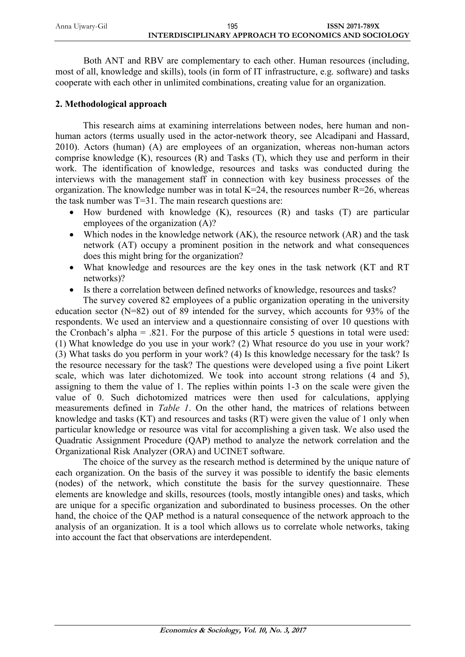| Anna Ujwary-Gil | 195                                                   | <b>ISSN 2071-789X</b> |
|-----------------|-------------------------------------------------------|-----------------------|
|                 | INTERDISCIPLINARY APPROACH TO ECONOMICS AND SOCIOLOGY |                       |

Both ANT and RBV are complementary to each other. Human resources (including, most of all, knowledge and skills), tools (in form of IT infrastructure, e.g. software) and tasks cooperate with each other in unlimited combinations, creating value for an organization.

#### **2. Methodological approach**

This research aims at examining interrelations between nodes, here human and nonhuman actors (terms usually used in the actor-network theory, see Alcadipani and Hassard, 2010). Actors (human) (A) are employees of an organization, whereas non-human actors comprise knowledge  $(K)$ , resources  $(R)$  and Tasks  $(T)$ , which they use and perform in their work. The identification of knowledge, resources and tasks was conducted during the interviews with the management staff in connection with key business processes of the organization. The knowledge number was in total  $K=24$ , the resources number  $R=26$ , whereas the task number was T=31. The main research questions are:

- $\bullet$  How burdened with knowledge (K), resources (R) and tasks (T) are particular employees of the organization (A)?
- Which nodes in the knowledge network (AK), the resource network (AR) and the task network (AT) occupy a prominent position in the network and what consequences does this might bring for the organization?
- What knowledge and resources are the key ones in the task network (KT and RT networks)?
- Is there a correlation between defined networks of knowledge, resources and tasks?

The survey covered 82 employees of a public organization operating in the university education sector (N=82) out of 89 intended for the survey, which accounts for 93% of the respondents. We used an interview and a questionnaire consisting of over 10 questions with the Cronbach's alpha = .821. For the purpose of this article 5 questions in total were used: (1) What knowledge do you use in your work? (2) What resource do you use in your work? (3) What tasks do you perform in your work? (4) Is this knowledge necessary for the task? Is the resource necessary for the task? The questions were developed using a five point Likert scale, which was later dichotomized. We took into account strong relations (4 and 5), assigning to them the value of 1. The replies within points 1-3 on the scale were given the value of 0. Such dichotomized matrices were then used for calculations, applying measurements defined in *Table 1*. On the other hand, the matrices of relations between knowledge and tasks (KT) and resources and tasks (RT) were given the value of 1 only when particular knowledge or resource was vital for accomplishing a given task. We also used the Quadratic Assignment Procedure (QAP) method to analyze the network correlation and the Organizational Risk Analyzer (ORA) and UCINET software.

The choice of the survey as the research method is determined by the unique nature of each organization. On the basis of the survey it was possible to identify the basic elements (nodes) of the network, which constitute the basis for the survey questionnaire. These elements are knowledge and skills, resources (tools, mostly intangible ones) and tasks, which are unique for a specific organization and subordinated to business processes. On the other hand, the choice of the QAP method is a natural consequence of the network approach to the analysis of an organization. It is a tool which allows us to correlate whole networks, taking into account the fact that observations are interdependent.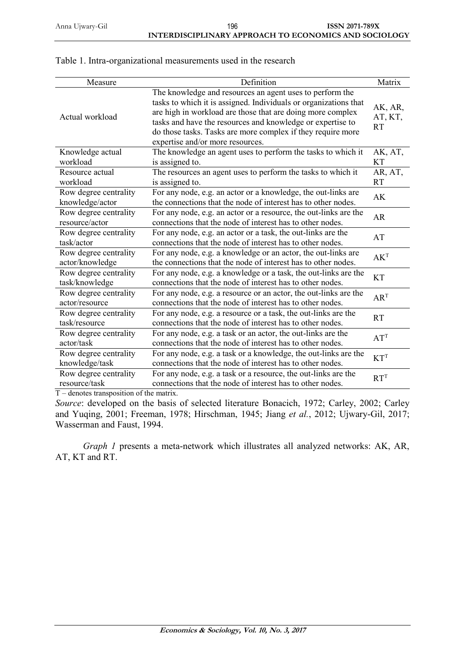| Measure                                  | Definition                                                                                                                                                                                                                                                                                                                                                  | Matrix                          |
|------------------------------------------|-------------------------------------------------------------------------------------------------------------------------------------------------------------------------------------------------------------------------------------------------------------------------------------------------------------------------------------------------------------|---------------------------------|
| Actual workload                          | The knowledge and resources an agent uses to perform the<br>tasks to which it is assigned. Individuals or organizations that<br>are high in workload are those that are doing more complex<br>tasks and have the resources and knowledge or expertise to<br>do those tasks. Tasks are more complex if they require more<br>expertise and/or more resources. | AK, AR,<br>AT, KT,<br><b>RT</b> |
| Knowledge actual<br>workload             | The knowledge an agent uses to perform the tasks to which it<br>is assigned to.                                                                                                                                                                                                                                                                             | AK, AT,<br><b>KT</b>            |
| Resource actual<br>workload              | The resources an agent uses to perform the tasks to which it<br>is assigned to.                                                                                                                                                                                                                                                                             | AR, AT,<br>RT                   |
| Row degree centrality<br>knowledge/actor | For any node, e.g. an actor or a knowledge, the out-links are<br>the connections that the node of interest has to other nodes.                                                                                                                                                                                                                              | AK                              |
| Row degree centrality<br>resource/actor  | For any node, e.g. an actor or a resource, the out-links are the<br>connections that the node of interest has to other nodes.                                                                                                                                                                                                                               | <b>AR</b>                       |
| Row degree centrality<br>task/actor      | For any node, e.g. an actor or a task, the out-links are the<br>connections that the node of interest has to other nodes.                                                                                                                                                                                                                                   | AT                              |
| Row degree centrality<br>actor/knowledge | For any node, e.g. a knowledge or an actor, the out-links are<br>the connections that the node of interest has to other nodes.                                                                                                                                                                                                                              | AK <sup>T</sup>                 |
| Row degree centrality<br>task/knowledge  | For any node, e.g. a knowledge or a task, the out-links are the<br>connections that the node of interest has to other nodes.                                                                                                                                                                                                                                | <b>KT</b>                       |
| Row degree centrality<br>actor/resource  | For any node, e.g. a resource or an actor, the out-links are the<br>connections that the node of interest has to other nodes.                                                                                                                                                                                                                               | AR <sup>T</sup>                 |
| Row degree centrality<br>task/resource   | For any node, e.g. a resource or a task, the out-links are the<br>connections that the node of interest has to other nodes.                                                                                                                                                                                                                                 | <b>RT</b>                       |
| Row degree centrality<br>actor/task      | For any node, e.g. a task or an actor, the out-links are the<br>connections that the node of interest has to other nodes.                                                                                                                                                                                                                                   | AT <sup>T</sup>                 |
| Row degree centrality<br>knowledge/task  | For any node, e.g. a task or a knowledge, the out-links are the<br>connections that the node of interest has to other nodes.                                                                                                                                                                                                                                | $KT^T$                          |
| Row degree centrality<br>resource/task   | For any node, e.g. a task or a resource, the out-links are the<br>connections that the node of interest has to other nodes.                                                                                                                                                                                                                                 | RT <sup>T</sup>                 |

#### Table 1. Intra-organizational measurements used in the research

 $T$  – denotes transposition of the matrix.

*Source*: developed on the basis of selected literature Bonacich, 1972; Carley, 2002; Carley and Yuqing, 2001; Freeman, 1978; Hirschman, 1945; Jiang *et al.*, 2012; Ujwary-Gil, 2017; Wasserman and Faust, 1994.

*Graph 1* presents a meta-network which illustrates all analyzed networks: AK, AR, AT, KT and RT.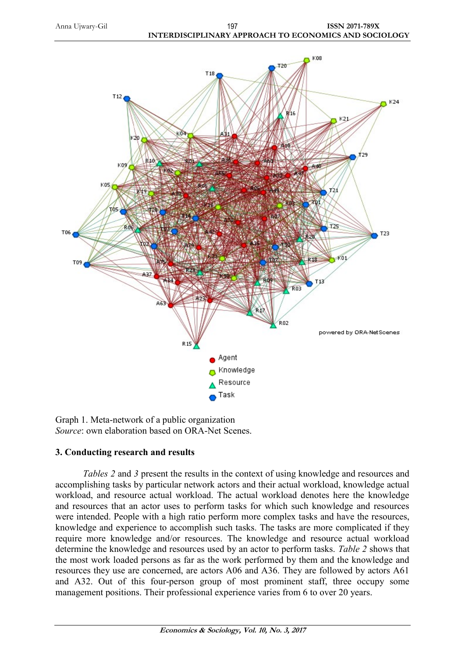Anna Ujwary-Gil **ISSN 2071-789X INTERDISCIPLINARY APPROACH TO ECONOMICS AND SOCIOLOGY** 197



Graph 1. Meta-network of a public organization *Source*: own elaboration based on ORA-Net Scenes.

## **3. Conducting research and results**

*Tables 2* and *3* present the results in the context of using knowledge and resources and accomplishing tasks by particular network actors and their actual workload, knowledge actual workload, and resource actual workload. The actual workload denotes here the knowledge and resources that an actor uses to perform tasks for which such knowledge and resources were intended. People with a high ratio perform more complex tasks and have the resources, knowledge and experience to accomplish such tasks. The tasks are more complicated if they require more knowledge and/or resources. The knowledge and resource actual workload determine the knowledge and resources used by an actor to perform tasks. *Table 2* shows that the most work loaded persons as far as the work performed by them and the knowledge and resources they use are concerned, are actors A06 and A36. They are followed by actors A61 and A32. Out of this four-person group of most prominent staff, three occupy some management positions. Their professional experience varies from 6 to over 20 years.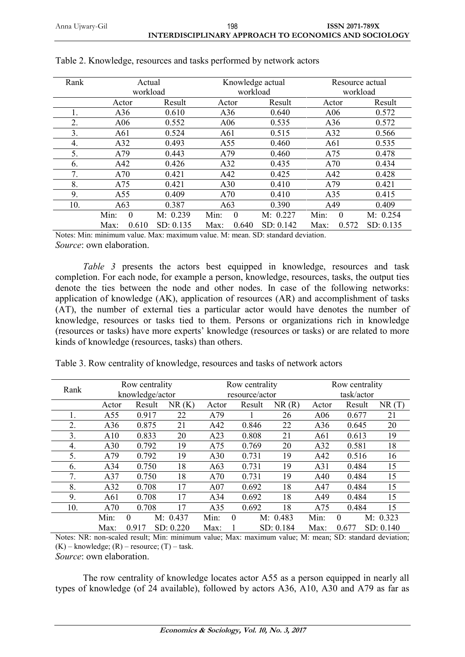| Rank | Actual |          |           |                 | Knowledge actual |           |          | Resource actual |           |  |
|------|--------|----------|-----------|-----------------|------------------|-----------|----------|-----------------|-----------|--|
|      |        | workload |           |                 | workload         |           | workload |                 |           |  |
|      |        |          |           |                 |                  |           |          |                 |           |  |
|      | Actor  |          | Result    | Actor           |                  | Result    | Actor    |                 | Result    |  |
|      | A36    |          | 0.610     | A36             |                  | 0.640     |          | A06             | 0.572     |  |
| 2.   | A06    |          | 0.552     | A06             |                  | 0.535     |          | A36             | 0.572     |  |
| 3.   | A61    |          | 0.524     | A61             |                  | 0.515     | A32      |                 | 0.566     |  |
| 4.   | A32    |          | 0.493     | A55             |                  | 0.460     | A61      |                 | 0.535     |  |
| 5.   | A79    |          | 0.443     | A79             |                  | 0.460     | A75      |                 | 0.478     |  |
| 6.   | A42    |          | 0.426     | A <sub>32</sub> |                  | 0.435     | A70      |                 | 0.434     |  |
| 7.   | A70    |          | 0.421     | A42             |                  | 0.425     | A42      |                 | 0.428     |  |
| 8.   | A75    |          | 0.421     | A30             |                  | 0.410     | A79      |                 | 0.421     |  |
| 9.   | A55    |          | 0.409     | A70             |                  | 0.410     | A35      |                 | 0.415     |  |
| 10.  | A63    |          | 0.387     | A63             |                  | 0.390     | A49      |                 | 0.409     |  |
|      | Min:   | $\theta$ | M: 0.239  | Min:            | $\theta$         | M: 0.227  | Min:     | $\theta$        | M: 0.254  |  |
|      | Max:   | 0.610    | SD: 0.135 | Max:            | 0.640            | SD: 0.142 | Max:     | 0.572           | SD: 0.135 |  |

|  | Table 2. Knowledge, resources and tasks performed by network actors |  |  |
|--|---------------------------------------------------------------------|--|--|
|  |                                                                     |  |  |

Notes: Min: minimum value. Max: maximum value. M: mean. SD: standard deviation. *Source*: own elaboration.

*Table 3* presents the actors best equipped in knowledge, resources and task completion. For each node, for example a person, knowledge, resources, tasks, the output ties denote the ties between the node and other nodes. In case of the following networks: application of knowledge (AK), application of resources (AR) and accomplishment of tasks (AT), the number of external ties a particular actor would have denotes the number of knowledge, resources or tasks tied to them. Persons or organizations rich in knowledge (resources or tasks) have more experts' knowledge (resources or tasks) or are related to more kinds of knowledge (resources, tasks) than others.

| Rank |       | Row centrality  |           |       | Row centrality |           |       | Row centrality |           |  |
|------|-------|-----------------|-----------|-------|----------------|-----------|-------|----------------|-----------|--|
|      |       | knowledge/actor |           |       | resource/actor |           |       | task/actor     |           |  |
|      | Actor | Result          | NR(K)     | Actor | Result         | NR(R)     | Actor | Result         | NR(T)     |  |
| 1.   | A55   | 0.917           | 22        | A79   |                | 26        | A06   | 0.677          | 21        |  |
| 2.   | A36   | 0.875           | 21        | A42   | 0.846          | 22        | A36   | 0.645          | 20        |  |
| 3.   | A10   | 0.833           | 20        | A23   | 0.808          | 21        | A61   | 0.613          | 19        |  |
| 4.   | A30   | 0.792           | 19        | A75   | 0.769          | 20        | A32   | 0.581          | 18        |  |
| 5.   | A79   | 0.792           | 19        | A30   | 0.731          | 19        | A42   | 0.516          | 16        |  |
| 6.   | A34   | 0.750           | 18        | A63   | 0.731          | 19        | A31   | 0.484          | 15        |  |
| 7.   | A37   | 0.750           | 18        | A70   | 0.731          | 19        | A40   | 0.484          | 15        |  |
| 8.   | A32   | 0.708           | 17        | A07   | 0.692          | 18        | A47   | 0.484          | 15        |  |
| 9.   | A61   | 0.708           | 17        | A34   | 0.692          | 18        | A49   | 0.484          | 15        |  |
| 10.  | A70   | 0.708           | 17        | A35   | 0.692          | 18        | A75   | 0.484          | 15        |  |
|      | Min:  | $\Omega$        | M: 0.437  | Min:  | $\Omega$       | M: 0.483  | Min:  | $\Omega$       | M: 0.323  |  |
|      | Max:  | 0.917           | SD: 0.220 | Max:  |                | SD: 0.184 | Max:  | 0.677          | SD: 0.140 |  |

Notes: NR: non-scaled result; Min: minimum value; Max: maximum value; M: mean; SD: standard deviation;  $(K)$  – knowledge;  $(R)$  – resource;  $(T)$  – task.

*Source*: own elaboration.

The row centrality of knowledge locates actor A55 as a person equipped in nearly all types of knowledge (of 24 available), followed by actors A36, A10, A30 and A79 as far as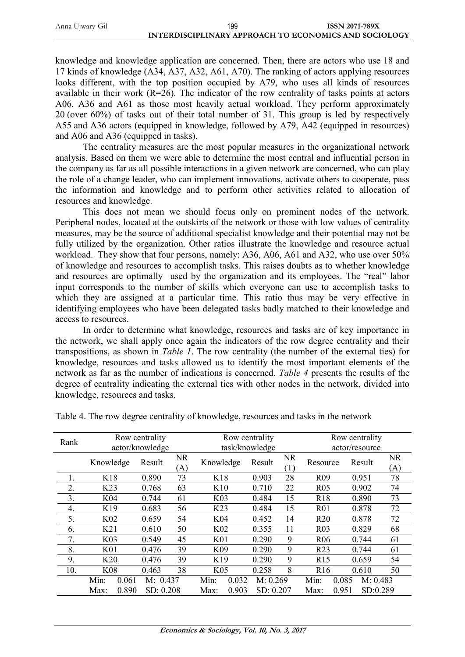| Anna Ujwary-Gil | 199                                                   | <b>ISSN 2071-789X</b> |
|-----------------|-------------------------------------------------------|-----------------------|
|                 | INTERDISCIPLINARY APPROACH TO ECONOMICS AND SOCIOLOGY |                       |

knowledge and knowledge application are concerned. Then, there are actors who use 18 and 17 kinds of knowledge (A34, A37, A32, A61, A70). The ranking of actors applying resources looks different, with the top position occupied by A79, who uses all kinds of resources available in their work  $(R=26)$ . The indicator of the row centrality of tasks points at actors A06, A36 and A61 as those most heavily actual workload. They perform approximately 20 (over 60%) of tasks out of their total number of 31. This group is led by respectively A55 and A36 actors (equipped in knowledge, followed by A79, A42 (equipped in resources) and A06 and A36 (equipped in tasks).

The centrality measures are the most popular measures in the organizational network analysis. Based on them we were able to determine the most central and influential person in the company as far as all possible interactions in a given network are concerned, who can play the role of a change leader, who can implement innovations, activate others to cooperate, pass the information and knowledge and to perform other activities related to allocation of resources and knowledge.

This does not mean we should focus only on prominent nodes of the network. Peripheral nodes, located at the outskirts of the network or those with low values of centrality measures, may be the source of additional specialist knowledge and their potential may not be fully utilized by the organization. Other ratios illustrate the knowledge and resource actual workload. They show that four persons, namely: A36, A06, A61 and A32, who use over 50% of knowledge and resources to accomplish tasks. This raises doubts as to whether knowledge and resources are optimally used by the organization and its employees. The "real" labor input corresponds to the number of skills which everyone can use to accomplish tasks to which they are assigned at a particular time. This ratio thus may be very effective in identifying employees who have been delegated tasks badly matched to their knowledge and access to resources.

In order to determine what knowledge, resources and tasks are of key importance in the network, we shall apply once again the indicators of the row degree centrality and their transpositions, as shown in *Table 1*. The row centrality (the number of the external ties) for knowledge, resources and tasks allowed us to identify the most important elements of the network as far as the number of indications is concerned. *Table 4* presents the results of the degree of centrality indicating the external ties with other nodes in the network, divided into knowledge, resources and tasks.

| Rank |                 | Row centrality<br>actor/knowledge |                  |                 | Row centrality<br>task/knowledge |           |           | Row centrality<br>actor/resource |                   |                  |
|------|-----------------|-----------------------------------|------------------|-----------------|----------------------------------|-----------|-----------|----------------------------------|-------------------|------------------|
|      | Knowledge       | Result                            | <b>NR</b><br>(A) | Knowledge       |                                  | Result    | NR<br>(T) | Resource                         | Result            | <b>NR</b><br>(A) |
|      | K18             | 0.890                             | 73               | K18             |                                  | 0.903     | 28        | R <sub>09</sub>                  | 0.951             | 78               |
| 2.   | K <sub>23</sub> | 0.768                             | 63               | K10             |                                  | 0.710     | 22        | <b>R05</b>                       | 0.902             | 74               |
| 3.   | K04             | 0.744                             | 61               | K <sub>03</sub> |                                  | 0.484     | 15        | <b>R18</b>                       | 0.890             | 73               |
| 4.   | K19             | 0.683                             | 56               | K <sub>23</sub> |                                  | 0.484     | 15        | R <sub>0</sub> 1                 | 0.878             | 72               |
| 5.   | K <sub>02</sub> | 0.659                             | 54               | K04             |                                  | 0.452     | 14        | R20                              | 0.878             | 72               |
| 6.   | K21             | 0.610                             | 50               | K <sub>02</sub> |                                  | 0.355     | 11        | R <sub>03</sub>                  | 0.829             | 68               |
| 7.   | K <sub>03</sub> | 0.549                             | 45               | K <sub>01</sub> |                                  | 0.290     | 9         | R <sub>06</sub>                  | 0.744             | 61               |
| 8.   | K <sub>01</sub> | 0.476                             | 39               | K <sub>09</sub> |                                  | 0.290     | 9         | R <sub>23</sub>                  | 0.744             | 61               |
| 9.   | K20             | 0.476                             | 39               | K <sub>19</sub> |                                  | 0.290     | 9         | R15                              | 0.659             | 54               |
| 10.  | <b>K08</b>      | 0.463                             | 38               | K <sub>05</sub> |                                  | 0.258     | 8         | R16                              | 0.610             | 50               |
|      | Min:<br>0.061   | M: 0.437                          |                  | Min:            | 0.032                            | M: 0.269  |           | Min:                             | 0.085<br>M: 0.483 |                  |
|      | 0.890<br>Max:   | SD: 0.208                         |                  | Max:            | 0.903                            | SD: 0.207 |           | Max:                             | 0.951<br>SD:0.289 |                  |

Table 4. The row degree centrality of knowledge, resources and tasks in the network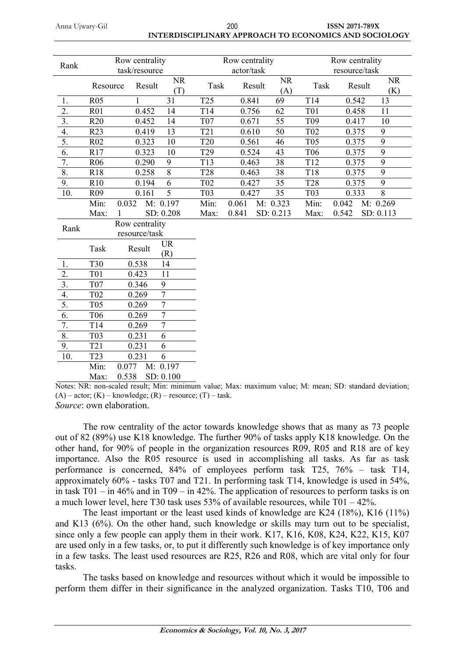| 200                                                   | <b>ISSN 2071-789X</b> |
|-------------------------------------------------------|-----------------------|
| INTERDISCIPLINARY APPROACH TO ECONOMICS AND SOCIOLOGY |                       |

| Rank                      | Row centrality<br>task/resource |                |                  |                  | Row centrality<br>actor/task |       |        |                  | Row centrality<br>resource/task |        |                  |
|---------------------------|---------------------------------|----------------|------------------|------------------|------------------------------|-------|--------|------------------|---------------------------------|--------|------------------|
|                           | Resource                        | Result         |                  | <b>NR</b><br>(T) | Task                         |       | Result | <b>NR</b><br>(A) | Task                            | Result | <b>NR</b><br>(K) |
| 1.                        | <b>R05</b>                      |                |                  | 31               | T <sub>25</sub>              | 0.841 |        | 69               | T14                             | 0.542  | 13               |
| 2.                        | <b>R01</b>                      | 0.452          |                  | 14               | T <sub>14</sub>              | 0.756 |        | 62               | <b>T01</b>                      | 0.458  | 11               |
| $\overline{3}$ .          | R20                             | 0.452          |                  | 14               | <b>T07</b>                   | 0.671 |        | $\overline{55}$  | T <sub>09</sub>                 | 0.417  | 10               |
| 4.                        | R23                             | 0.419          |                  | 13               | T21                          | 0.610 |        | 50               | T <sub>02</sub>                 | 0.375  | $\boldsymbol{9}$ |
| 5.                        | <b>R02</b>                      | 0.323          |                  | 10               | <b>T20</b>                   | 0.561 |        | 46               | <b>T05</b>                      | 0.375  | $\overline{9}$   |
| 6.                        | R17                             | 0.323          |                  | 10               | T <sub>29</sub>              | 0.524 |        | 43               | T <sub>06</sub>                 | 0.375  | 9                |
| $\overline{7}$ .          | <b>R06</b>                      | 0.290          |                  | 9                | T <sub>13</sub>              | 0.463 |        | 38               | T12                             | 0.375  | $\overline{9}$   |
| $\overline{8}$ .          | <b>R18</b>                      | 0.258          |                  | $\overline{8}$   | <b>T28</b>                   | 0.463 |        | 38               | <b>T18</b>                      | 0.375  | $\overline{9}$   |
| 9.                        | R10                             | 0.194          |                  | 6                | T <sub>02</sub>              | 0.427 |        | 35               | <b>T28</b>                      | 0.375  | 9                |
| 10.                       | R <sub>09</sub>                 | 0.161          |                  | 5                | T <sub>0</sub> 3             | 0.427 |        | 35               | T03                             | 0.333  | $\overline{8}$   |
|                           | Min:                            | 0.032          | M: 0.197         |                  | Min:                         | 0.061 |        | M: 0.323         | Min:                            | 0.042  | M: 0.269         |
|                           | Max:                            |                | SD: 0.208        |                  | Max:                         | 0.841 |        | SD: 0.213        | Max:                            | 0.542  | SD: 0.113        |
| Rank                      |                                 | Row centrality |                  |                  |                              |       |        |                  |                                 |        |                  |
|                           |                                 | resource/task  |                  |                  |                              |       |        |                  |                                 |        |                  |
|                           | Task                            | Result         | <b>UR</b><br>(R) |                  |                              |       |        |                  |                                 |        |                  |
| 1.                        | <b>T30</b>                      | 0.538          | 14               |                  |                              |       |        |                  |                                 |        |                  |
| 2.                        | <b>T01</b>                      | 0.423          | 11               |                  |                              |       |        |                  |                                 |        |                  |
| $\overline{3}$ .          | T <sub>07</sub>                 | 0.346          | 9                |                  |                              |       |        |                  |                                 |        |                  |
| 4.                        | T <sub>02</sub>                 | 0.269          | $\overline{7}$   |                  |                              |       |        |                  |                                 |        |                  |
| 5.                        | <b>T05</b>                      | 0.269          | $\overline{7}$   |                  |                              |       |        |                  |                                 |        |                  |
| 6.                        | T <sub>06</sub>                 | 0.269          | $\tau$           |                  |                              |       |        |                  |                                 |        |                  |
| 7.                        | T14                             | 0.269          | $\overline{7}$   |                  |                              |       |        |                  |                                 |        |                  |
| $\overline{\mathbf{8}}$ . | T03                             | 0.231          | 6                |                  |                              |       |        |                  |                                 |        |                  |
| 9.                        | <b>T21</b>                      | 0.231          | 6                |                  |                              |       |        |                  |                                 |        |                  |
| 10.                       | T <sub>23</sub>                 | 0.231          | 6                |                  |                              |       |        |                  |                                 |        |                  |
|                           | Min:                            | 0.077          | M: 0.197         |                  |                              |       |        |                  |                                 |        |                  |
|                           | Max:                            | 0.538          | SD: 0.100        |                  |                              |       |        |                  |                                 |        |                  |

Notes: NR: non-scaled result; Min: minimum value; Max: maximum value; M: mean; SD: standard deviation;  $(A)$  – actor;  $(K)$  – knowledge;  $(R)$  – resource;  $(T)$  – task. *Source*: own elaboration.

The row centrality of the actor towards knowledge shows that as many as 73 people out of 82 (89%) use K18 knowledge. The further 90% of tasks apply K18 knowledge. On the other hand, for 90% of people in the organization resources R09, R05 and R18 are of key importance. Also the R05 resource is used in accomplishing all tasks. As far as task performance is concerned, 84% of employees perform task T25, 76% – task T14, approximately 60% - tasks T07 and T21. In performing task T14, knowledge is used in 54%, in task T01 – in 46% and in T09 – in 42%. The application of resources to perform tasks is on a much lower level, here T30 task uses 53% of available resources, while T01 – 42%.

The least important or the least used kinds of knowledge are K24 (18%), K16 (11%) and K13 (6%). On the other hand, such knowledge or skills may turn out to be specialist, since only a few people can apply them in their work. K17, K16, K08, K24, K22, K15, K07 are used only in a few tasks, or, to put it differently such knowledge is of key importance only in a few tasks. The least used resources are R25, R26 and R08, which are vital only for four tasks.

The tasks based on knowledge and resources without which it would be impossible to perform them differ in their significance in the analyzed organization. Tasks T10, T06 and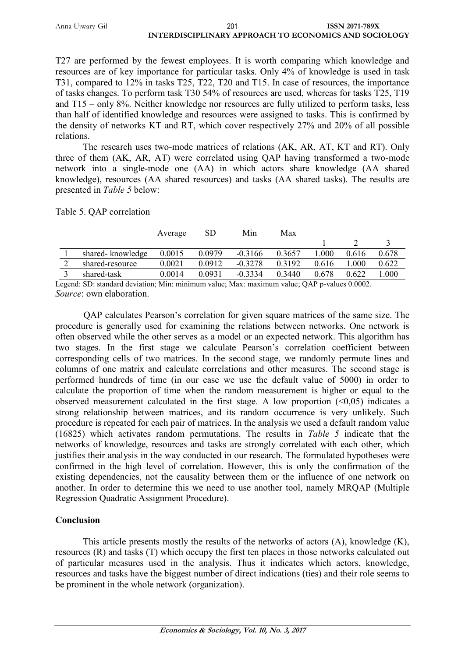| Anna Ujwary-Gil | 201                                                   | <b>ISSN 2071-789X</b> |
|-----------------|-------------------------------------------------------|-----------------------|
|                 | INTERDISCIPLINARY APPROACH TO ECONOMICS AND SOCIOLOGY |                       |

T27 are performed by the fewest employees. It is worth comparing which knowledge and resources are of key importance for particular tasks. Only 4% of knowledge is used in task T31, compared to 12% in tasks T25, T22, T20 and T15. In case of resources, the importance of tasks changes. To perform task T30 54% of resources are used, whereas for tasks T25, T19 and T15 – only 8%. Neither knowledge nor resources are fully utilized to perform tasks, less than half of identified knowledge and resources were assigned to tasks. This is confirmed by the density of networks KT and RT, which cover respectively 27% and 20% of all possible relations.

The research uses two-mode matrices of relations (AK, AR, AT, KT and RT). Only three of them (AK, AR, AT) were correlated using QAP having transformed a two-mode network into a single-mode one (AA) in which actors share knowledge (AA shared knowledge), resources (AA shared resources) and tasks (AA shared tasks). The results are presented in *Table 5* below:

Table 5. QAP correlation

|                  | Average | SD        | Min       | Max       |       |       |          |
|------------------|---------|-----------|-----------|-----------|-------|-------|----------|
|                  |         |           |           |           |       |       |          |
| shared-knowledge | 0.0015  | 0.0979    | $-0.3166$ | 0.3657    | .000  | 0.616 | 0.678    |
| shared-resource  | 0.0021  | 0 0 9 1 2 | $-0.3278$ | 0 3 1 9 2 | 0.616 | .000  | 0.622    |
| shared-task      | 0.0014  | 0.0931    | $-0.3334$ | 0 3440    | 0.678 | 0.622 | $.000\,$ |

Legend: SD: standard deviation; Min: minimum value; Max: maximum value; QAP p-values 0.0002. *Source*: own elaboration.

QAP calculates Pearson's correlation for given square matrices of the same size. The procedure is generally used for examining the relations between networks. One network is often observed while the other serves as a model or an expected network. This algorithm has two stages. In the first stage we calculate Pearson's correlation coefficient between corresponding cells of two matrices. In the second stage, we randomly permute lines and columns of one matrix and calculate correlations and other measures. The second stage is performed hundreds of time (in our case we use the default value of 5000) in order to calculate the proportion of time when the random measurement is higher or equal to the observed measurement calculated in the first stage. A low proportion  $(\leq 0.05)$  indicates a strong relationship between matrices, and its random occurrence is very unlikely. Such procedure is repeated for each pair of matrices. In the analysis we used a default random value (16825) which activates random permutations. The results in *Table 5* indicate that the networks of knowledge, resources and tasks are strongly correlated with each other, which justifies their analysis in the way conducted in our research. The formulated hypotheses were confirmed in the high level of correlation. However, this is only the confirmation of the existing dependencies, not the causality between them or the influence of one network on another. In order to determine this we need to use another tool, namely MRQAP (Multiple Regression Quadratic Assignment Procedure).

#### **Conclusion**

This article presents mostly the results of the networks of actors (A), knowledge (K), resources (R) and tasks (T) which occupy the first ten places in those networks calculated out of particular measures used in the analysis. Thus it indicates which actors, knowledge, resources and tasks have the biggest number of direct indications (ties) and their role seems to be prominent in the whole network (organization).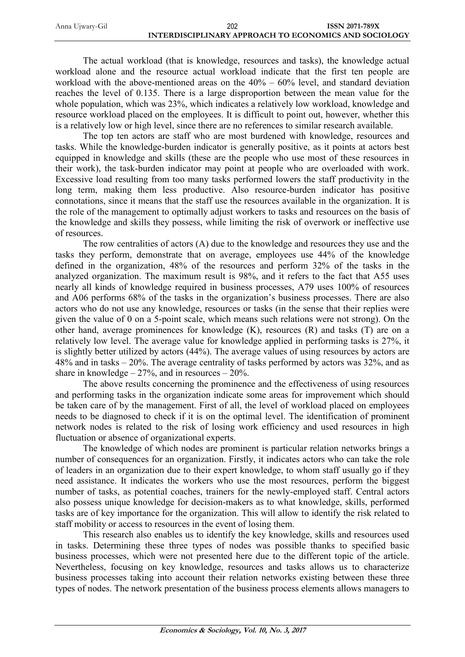The actual workload (that is knowledge, resources and tasks), the knowledge actual workload alone and the resource actual workload indicate that the first ten people are workload with the above-mentioned areas on the  $40\% - 60\%$  level, and standard deviation reaches the level of 0.135. There is a large disproportion between the mean value for the whole population, which was 23%, which indicates a relatively low workload, knowledge and resource workload placed on the employees. It is difficult to point out, however, whether this is a relatively low or high level, since there are no references to similar research available.

The top ten actors are staff who are most burdened with knowledge, resources and tasks. While the knowledge-burden indicator is generally positive, as it points at actors best equipped in knowledge and skills (these are the people who use most of these resources in their work), the task-burden indicator may point at people who are overloaded with work. Excessive load resulting from too many tasks performed lowers the staff productivity in the long term, making them less productive. Also resource-burden indicator has positive connotations, since it means that the staff use the resources available in the organization. It is the role of the management to optimally adjust workers to tasks and resources on the basis of the knowledge and skills they possess, while limiting the risk of overwork or ineffective use of resources.

The row centralities of actors (A) due to the knowledge and resources they use and the tasks they perform, demonstrate that on average, employees use 44% of the knowledge defined in the organization, 48% of the resources and perform 32% of the tasks in the analyzed organization. The maximum result is 98%, and it refers to the fact that A55 uses nearly all kinds of knowledge required in business processes, A79 uses 100% of resources and A06 performs 68% of the tasks in the organization's business processes. There are also actors who do not use any knowledge, resources or tasks (in the sense that their replies were given the value of 0 on a 5-point scale, which means such relations were not strong). On the other hand, average prominences for knowledge (K), resources (R) and tasks (T) are on a relatively low level. The average value for knowledge applied in performing tasks is 27%, it is slightly better utilized by actors (44%). The average values of using resources by actors are 48% and in tasks – 20%. The average centrality of tasks performed by actors was 32%, and as share in knowledge  $-27%$ , and in resources  $-20%$ .

The above results concerning the prominence and the effectiveness of using resources and performing tasks in the organization indicate some areas for improvement which should be taken care of by the management. First of all, the level of workload placed on employees needs to be diagnosed to check if it is on the optimal level. The identification of prominent network nodes is related to the risk of losing work efficiency and used resources in high fluctuation or absence of organizational experts.

The knowledge of which nodes are prominent is particular relation networks brings a number of consequences for an organization. Firstly, it indicates actors who can take the role of leaders in an organization due to their expert knowledge, to whom staff usually go if they need assistance. It indicates the workers who use the most resources, perform the biggest number of tasks, as potential coaches, trainers for the newly-employed staff. Central actors also possess unique knowledge for decision-makers as to what knowledge, skills, performed tasks are of key importance for the organization. This will allow to identify the risk related to staff mobility or access to resources in the event of losing them.

This research also enables us to identify the key knowledge, skills and resources used in tasks. Determining these three types of nodes was possible thanks to specified basic business processes, which were not presented here due to the different topic of the article. Nevertheless, focusing on key knowledge, resources and tasks allows us to characterize business processes taking into account their relation networks existing between these three types of nodes. The network presentation of the business process elements allows managers to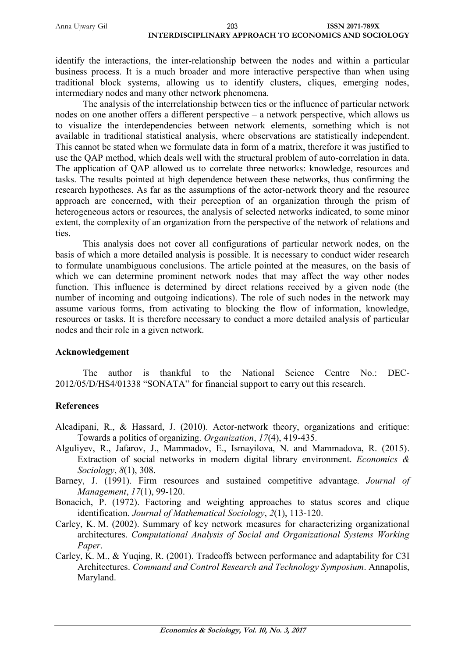identify the interactions, the inter-relationship between the nodes and within a particular business process. It is a much broader and more interactive perspective than when using traditional block systems, allowing us to identify clusters, cliques, emerging nodes, intermediary nodes and many other network phenomena.

The analysis of the interrelationship between ties or the influence of particular network nodes on one another offers a different perspective – a network perspective, which allows us to visualize the interdependencies between network elements, something which is not available in traditional statistical analysis, where observations are statistically independent. This cannot be stated when we formulate data in form of a matrix, therefore it was justified to use the QAP method, which deals well with the structural problem of auto-correlation in data. The application of QAP allowed us to correlate three networks: knowledge, resources and tasks. The results pointed at high dependence between these networks, thus confirming the research hypotheses. As far as the assumptions of the actor-network theory and the resource approach are concerned, with their perception of an organization through the prism of heterogeneous actors or resources, the analysis of selected networks indicated, to some minor extent, the complexity of an organization from the perspective of the network of relations and ties.

This analysis does not cover all configurations of particular network nodes, on the basis of which a more detailed analysis is possible. It is necessary to conduct wider research to formulate unambiguous conclusions. The article pointed at the measures, on the basis of which we can determine prominent network nodes that may affect the way other nodes function. This influence is determined by direct relations received by a given node (the number of incoming and outgoing indications). The role of such nodes in the network may assume various forms, from activating to blocking the flow of information, knowledge, resources or tasks. It is therefore necessary to conduct a more detailed analysis of particular nodes and their role in a given network.

#### **Acknowledgement**

The author is thankful to the National Science Centre No.: DEC-2012/05/D/HS4/01338 "SONATA" for financial support to carry out this research.

### **References**

- Alcadipani, R., & Hassard, J. (2010). Actor-network theory, organizations and critique: Towards a politics of organizing. *Organization*, *17*(4), 419-435.
- Alguliyev, R., Jafarov, J., Mammadov, E., Ismayilova, N. and Mammadova, R. (2015). Extraction of social networks in modern digital library environment. *Economics & Sociology*, *8*(1), 308.
- Barney, J. (1991). Firm resources and sustained competitive advantage. *Journal of Management*, *17*(1), 99-120.
- Bonacich, P. (1972). Factoring and weighting approaches to status scores and clique identification. *Journal of Mathematical Sociology*, *2*(1), 113-120.
- Carley, K. M. (2002). Summary of key network measures for characterizing organizational architectures. *Computational Analysis of Social and Organizational Systems Working Paper*.
- Carley, K. M., & Yuqing, R. (2001). Tradeoffs between performance and adaptability for C3I Architectures. *Command and Control Research and Technology Symposium*. Annapolis, Maryland.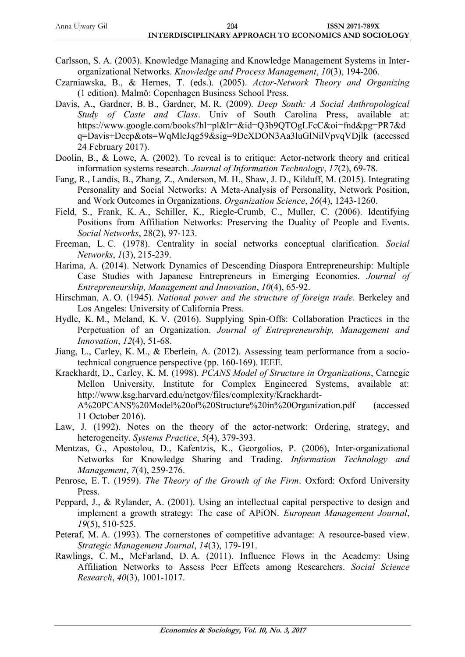- Carlsson, S. A. (2003). Knowledge Managing and Knowledge Management Systems in Interorganizational Networks. *Knowledge and Process Management*, *10*(3), 194-206.
- Czarniawska, B., & Hernes, T. (eds.). (2005). *Actor-Network Theory and Organizing* (1 edition). Malmö: Copenhagen Business School Press.
- Davis, A., Gardner, B. B., Gardner, M. R. (2009). *Deep South: A Social Anthropological Study of Caste and Class*. Univ of South Carolina Press, available at: https://www.google.com/books?hl=pl&lr=&id=Q3b9QTOgLFcC&oi=fnd&pg=PR7&d q=Davis+Deep&ots=WqMleJqg59&sig=9DeXDON3Aa3luGlNilVpvqVDjlk (accessed 24 February 2017).
- Doolin, B., & Lowe, A. (2002). To reveal is to critique: Actor-network theory and critical information systems research. *Journal of Information Technology*, *17*(2), 69-78.
- Fang, R., Landis, B., Zhang, Z., Anderson, M. H., Shaw, J. D., Kilduff, M. (2015). Integrating Personality and Social Networks: A Meta-Analysis of Personality, Network Position, and Work Outcomes in Organizations. *Organization Science*, *26*(4), 1243-1260.
- Field, S., Frank, K. A., Schiller, K., Riegle-Crumb, C., Muller, C. (2006). Identifying Positions from Affiliation Networks: Preserving the Duality of People and Events. *Social Networks*, 28(2), 97-123.
- Freeman, L. C. (1978). Centrality in social networks conceptual clarification. *Social Networks*, *1*(3), 215-239.
- Harima, A. (2014). Network Dynamics of Descending Diaspora Entrepreneurship: Multiple Case Studies with Japanese Entrepreneurs in Emerging Economies. *Journal of Entrepreneurship, Management and Innovation*, *10*(4), 65-92.
- Hirschman, A. O. (1945). *National power and the structure of foreign trade*. Berkeley and Los Angeles: University of California Press.
- Hydle, K. M., Meland, K. V. (2016). Supplying Spin-Offs: Collaboration Practices in the Perpetuation of an Organization. *Journal of Entrepreneurship, Management and Innovation*, *12*(4), 51-68.
- Jiang, L., Carley, K. M., & Eberlein, A. (2012). Assessing team performance from a sociotechnical congruence perspective (pp. 160-169). IEEE.
- Krackhardt, D., Carley, K. M. (1998). *PCANS Model of Structure in Organizations*, Carnegie Mellon University, Institute for Complex Engineered Systems, available at: http://www.ksg.harvard.edu/netgov/files/complexity/Krackhardt-A%20PCANS%20Model%20of%20Structure%20in%20Organization.pdf (accessed 11 October 2016).
- Law, J. (1992). Notes on the theory of the actor-network: Ordering, strategy, and heterogeneity. *Systems Practice*, *5*(4), 379-393.
- Mentzas, G., Apostolou, D., Kafentzis, K., Georgolios, P. (2006), Inter-organizational Networks for Knowledge Sharing and Trading. *Information Technology and Management*, *7*(4), 259-276.
- Penrose, E. T. (1959). *The Theory of the Growth of the Firm*. Oxford: Oxford University Press.
- Peppard, J., & Rylander, A. (2001). Using an intellectual capital perspective to design and implement a growth strategy: The case of APiON. *European Management Journal*, *19*(5), 510-525.
- Peteraf, M. A. (1993). The cornerstones of competitive advantage: A resource-based view. *Strategic Management Journal*, *14*(3), 179-191.
- Rawlings, C. M., McFarland, D. A. (2011). Influence Flows in the Academy: Using Affiliation Networks to Assess Peer Effects among Researchers. *Social Science Research*, *40*(3), 1001-1017.